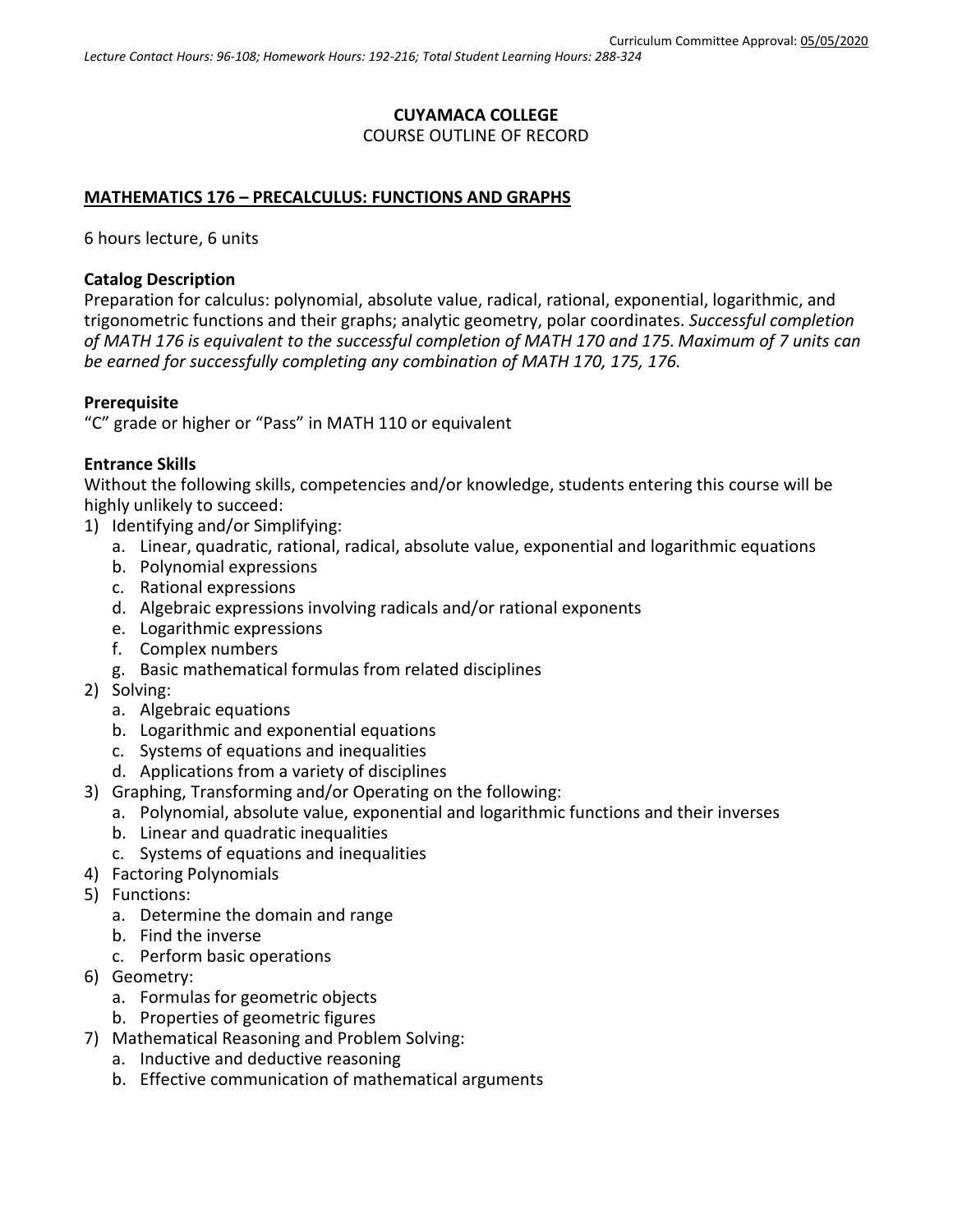# **CUYAMACA COLLEGE** COURSE OUTLINE OF RECORD

### **MATHEMATICS 176 – PRECALCULUS: FUNCTIONS AND GRAPHS**

6 hours lecture, 6 units

### **Catalog Description**

Preparation for calculus: polynomial, absolute value, radical, rational, exponential, logarithmic, and trigonometric functions and their graphs; analytic geometry, polar coordinates. *Successful completion of MATH 176 is equivalent to the successful completion of MATH 170 and 175. Maximum of 7 units can be earned for successfully completing any combination of MATH 170, 175, 176.*

### **Prerequisite**

"C" grade or higher or "Pass" in MATH 110 or equivalent

#### **Entrance Skills**

Without the following skills, competencies and/or knowledge, students entering this course will be highly unlikely to succeed:

- 1) Identifying and/or Simplifying:
	- a. Linear, quadratic, rational, radical, absolute value, exponential and logarithmic equations
	- b. Polynomial expressions
	- c. Rational expressions
	- d. Algebraic expressions involving radicals and/or rational exponents
	- e. Logarithmic expressions
	- f. Complex numbers
	- g. Basic mathematical formulas from related disciplines
- 2) Solving:
	- a. Algebraic equations
	- b. Logarithmic and exponential equations
	- c. Systems of equations and inequalities
	- d. Applications from a variety of disciplines
- 3) Graphing, Transforming and/or Operating on the following:
	- a. Polynomial, absolute value, exponential and logarithmic functions and their inverses
	- b. Linear and quadratic inequalities
	- c. Systems of equations and inequalities
- 4) Factoring Polynomials
- 5) Functions:
	- a. Determine the domain and range
	- b. Find the inverse
	- c. Perform basic operations
- 6) Geometry:
	- a. Formulas for geometric objects
	- b. Properties of geometric figures
- 7) Mathematical Reasoning and Problem Solving:
	- a. Inductive and deductive reasoning
	- b. Effective communication of mathematical arguments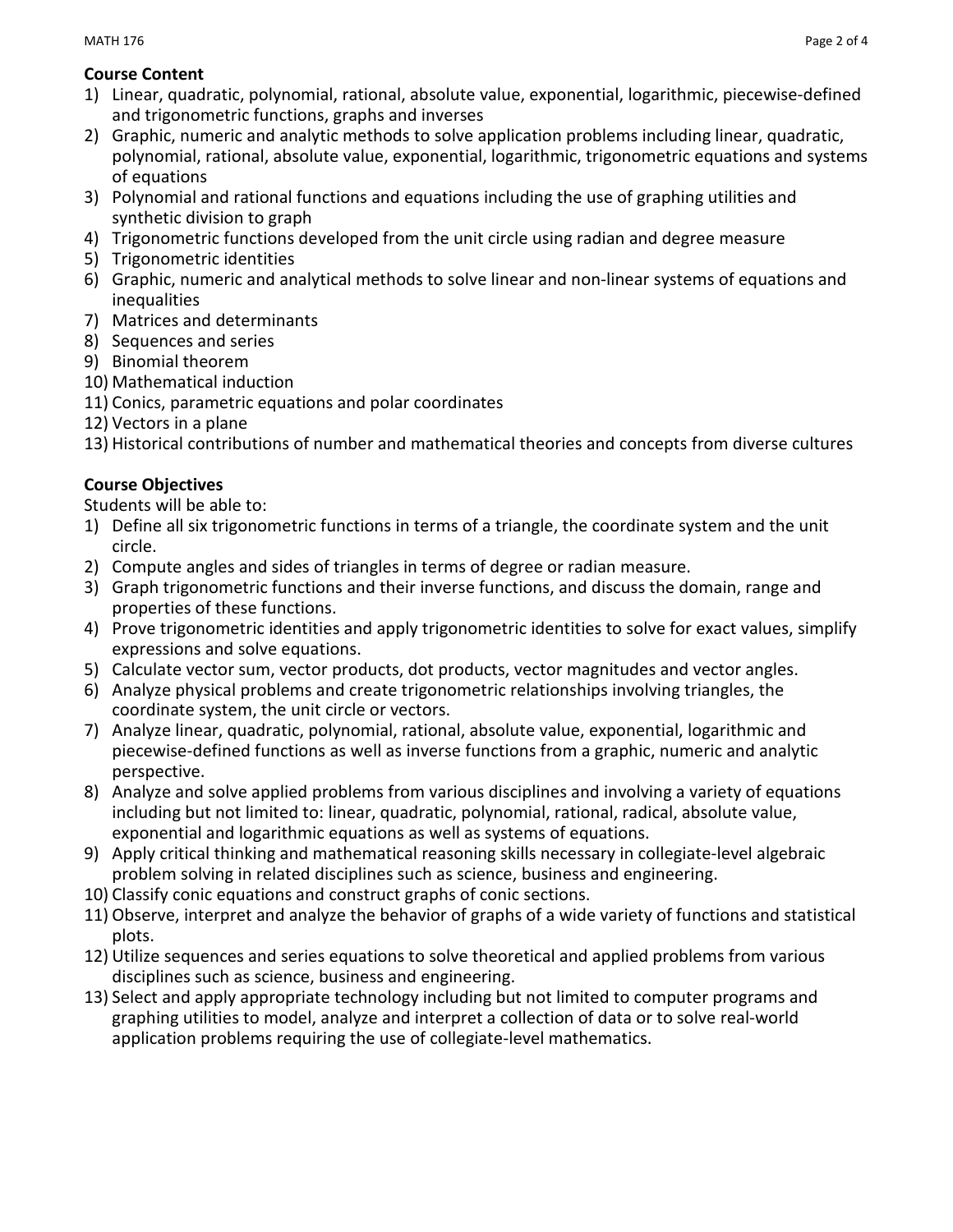# **Course Content**

- 1) Linear, quadratic, polynomial, rational, absolute value, exponential, logarithmic, piecewise-defined and trigonometric functions, graphs and inverses
- 2) Graphic, numeric and analytic methods to solve application problems including linear, quadratic, polynomial, rational, absolute value, exponential, logarithmic, trigonometric equations and systems of equations
- 3) Polynomial and rational functions and equations including the use of graphing utilities and synthetic division to graph
- 4) Trigonometric functions developed from the unit circle using radian and degree measure
- 5) Trigonometric identities
- 6) Graphic, numeric and analytical methods to solve linear and non-linear systems of equations and inequalities
- 7) Matrices and determinants
- 8) Sequences and series
- 9) Binomial theorem
- 10) Mathematical induction
- 11) Conics, parametric equations and polar coordinates
- 12) Vectors in a plane
- 13) Historical contributions of number and mathematical theories and concepts from diverse cultures

# **Course Objectives**

Students will be able to:

- 1) Define all six trigonometric functions in terms of a triangle, the coordinate system and the unit circle.
- 2) Compute angles and sides of triangles in terms of degree or radian measure.
- 3) Graph trigonometric functions and their inverse functions, and discuss the domain, range and properties of these functions.
- 4) Prove trigonometric identities and apply trigonometric identities to solve for exact values, simplify expressions and solve equations.
- 5) Calculate vector sum, vector products, dot products, vector magnitudes and vector angles.
- 6) Analyze physical problems and create trigonometric relationships involving triangles, the coordinate system, the unit circle or vectors.
- 7) Analyze linear, quadratic, polynomial, rational, absolute value, exponential, logarithmic and piecewise-defined functions as well as inverse functions from a graphic, numeric and analytic perspective.
- 8) Analyze and solve applied problems from various disciplines and involving a variety of equations including but not limited to: linear, quadratic, polynomial, rational, radical, absolute value, exponential and logarithmic equations as well as systems of equations.
- 9) Apply critical thinking and mathematical reasoning skills necessary in collegiate-level algebraic problem solving in related disciplines such as science, business and engineering.
- 10) Classify conic equations and construct graphs of conic sections.
- 11) Observe, interpret and analyze the behavior of graphs of a wide variety of functions and statistical plots.
- 12) Utilize sequences and series equations to solve theoretical and applied problems from various disciplines such as science, business and engineering.
- 13) Select and apply appropriate technology including but not limited to computer programs and graphing utilities to model, analyze and interpret a collection of data or to solve real-world application problems requiring the use of collegiate-level mathematics.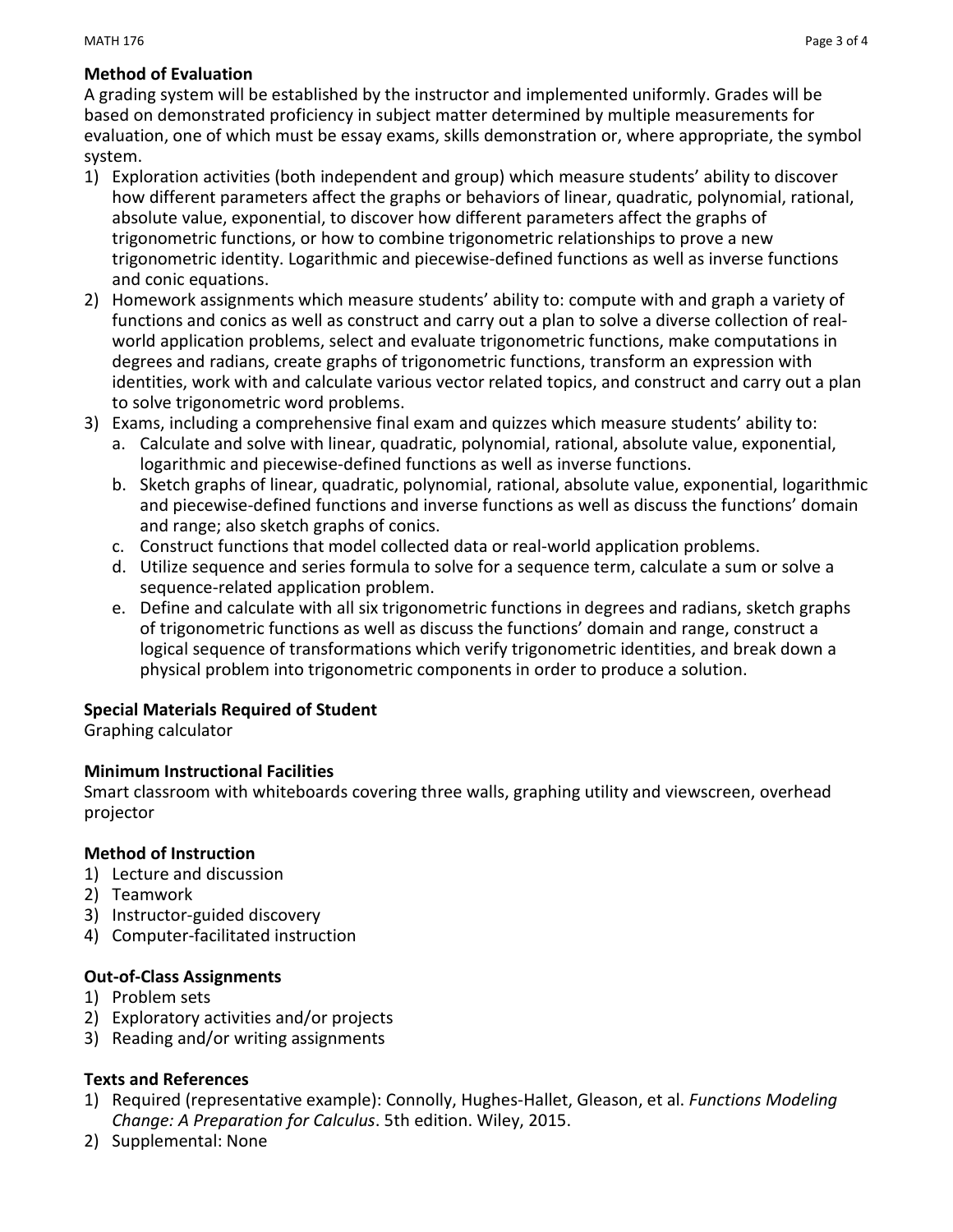#### MATH  $176$  Page 3 of 4  $\,$

### **Method of Evaluation**

A grading system will be established by the instructor and implemented uniformly. Grades will be based on demonstrated proficiency in subject matter determined by multiple measurements for evaluation, one of which must be essay exams, skills demonstration or, where appropriate, the symbol system.

- 1) Exploration activities (both independent and group) which measure students' ability to discover how different parameters affect the graphs or behaviors of linear, quadratic, polynomial, rational, absolute value, exponential, to discover how different parameters affect the graphs of trigonometric functions, or how to combine trigonometric relationships to prove a new trigonometric identity. Logarithmic and piecewise-defined functions as well as inverse functions and conic equations.
- 2) Homework assignments which measure students' ability to: compute with and graph a variety of functions and conics as well as construct and carry out a plan to solve a diverse collection of realworld application problems, select and evaluate trigonometric functions, make computations in degrees and radians, create graphs of trigonometric functions, transform an expression with identities, work with and calculate various vector related topics, and construct and carry out a plan to solve trigonometric word problems.
- 3) Exams, including a comprehensive final exam and quizzes which measure students' ability to:
	- a. Calculate and solve with linear, quadratic, polynomial, rational, absolute value, exponential, logarithmic and piecewise-defined functions as well as inverse functions.
	- b. Sketch graphs of linear, quadratic, polynomial, rational, absolute value, exponential, logarithmic and piecewise-defined functions and inverse functions as well as discuss the functions' domain and range; also sketch graphs of conics.
	- c. Construct functions that model collected data or real-world application problems.
	- d. Utilize sequence and series formula to solve for a sequence term, calculate a sum or solve a sequence-related application problem.
	- e. Define and calculate with all six trigonometric functions in degrees and radians, sketch graphs of trigonometric functions as well as discuss the functions' domain and range, construct a logical sequence of transformations which verify trigonometric identities, and break down a physical problem into trigonometric components in order to produce a solution.

### **Special Materials Required of Student**

Graphing calculator

### **Minimum Instructional Facilities**

Smart classroom with whiteboards covering three walls, graphing utility and viewscreen, overhead projector

### **Method of Instruction**

- 1) Lecture and discussion
- 2) Teamwork
- 3) Instructor-guided discovery
- 4) Computer-facilitated instruction

### **Out-of-Class Assignments**

- 1) Problem sets
- 2) Exploratory activities and/or projects
- 3) Reading and/or writing assignments

### **Texts and References**

- 1) Required (representative example): Connolly, Hughes-Hallet, Gleason, et al. *Functions Modeling Change: A Preparation for Calculus*. 5th edition. Wiley, 2015.
- 2) Supplemental: None